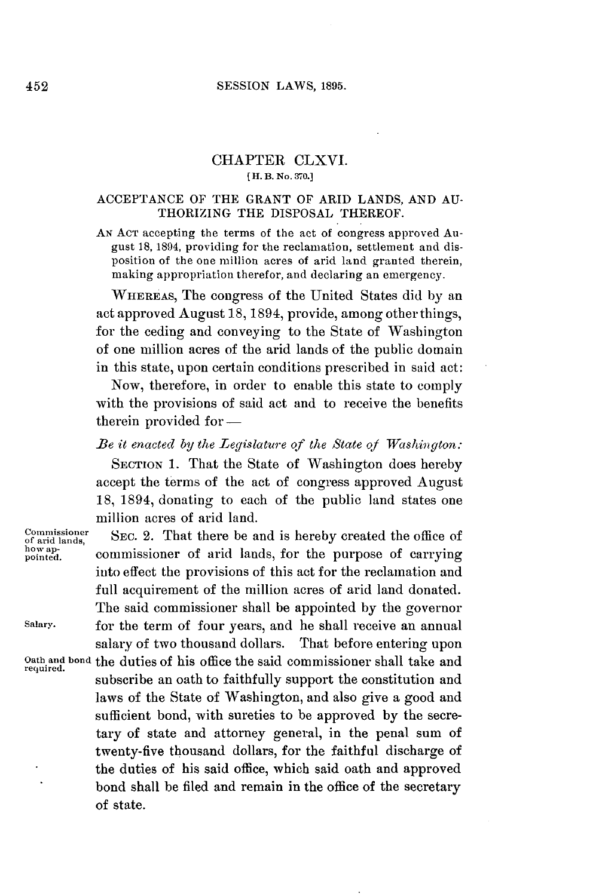#### **SESSION** LAWS, **1895.**

# CHAPTER CLXVI. **[H. B. No. 370.]**

### **ACCEPTANCE** OF THE GRANT OF ARID **LANDS, AND AU-**THORIZING THE **DISPOSAL** THEREOF.

**AN ACT** accepting the terms of the act of congress approved August **18,** 1894, providing for the reclamation, settlement and disposition of the one million acres of arid land granted therein, making appropriation therefor, and declaring an emergency.

WHEREAS, The congress of the United States did **by** an act approved August **18,** 1894, provide, among other things, for the ceding and conveying to the State of Washington of one million acres of the arid lands of the public domain in this state, upon certain conditions prescribed in said act:

Now, therefore, in order to enable this state to comply with the provisions of said act and to receive the benefits therein provided for —

## *Be it enacted by the Legislature of the State of Washington:*

**SECTION 1.** That the State of Washington does hereby accept the terms of the act of congress approved August **18,** 1894, donating to each of the public land states one million acres of arid land.

Commissioner SEC. 2. That there be and is hereby created the office of order of arid lands,

howap-<br>pointed. **commissioner** of arid lands, for the purpose of carrying into effect the provisions of this act for the reclamation and full acquirement of the million acres of arid land donated. The said commissioner shall be appointed **by** the governor **Salary.** for the term of four years, and he shall receive an annual salary of two thousand dollars. That before entering upon **Oath and bond** the duties of his office the said commissioner shall take and **required.** subscribe an oath to faithfully support the constitution and laws of the State of Washington, and also give a good and sufficient bond, with sureties to be approved **by** the secretary of state and attorney general, in the penal sum of twenty-five thousand dollars, for the faithful discharge of the duties of his said office, which said oath and approved bond shall be filed and remain in the office of the secretary of state.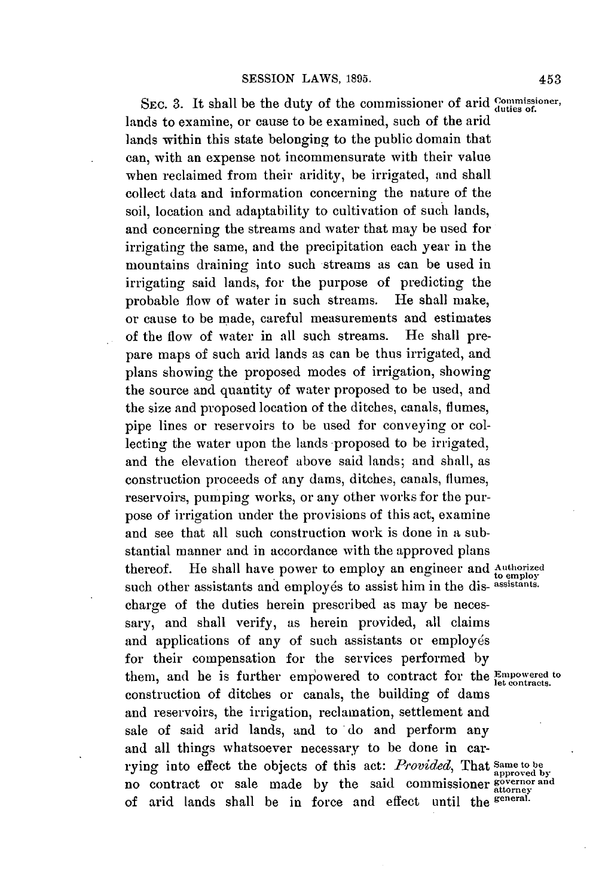SEC. 3. It shall be the duty of the commissioner of arid *commissioner*, lands to examine, or cause to be examined, such of the arid lands within this state belonging to the public domain that can, with an expense not incommensurate with their value when reclaimed from their aridity, be irrigated, and shall collect data and information concerning the nature of the soil, location and adaptability to cultivation of such lands, and concerning the streams and water that may be used for irrigating the same, and the precipitation each year in the mountains draining into such streams as can be used in irrigating said lands, for the purpose of predicting the probable flow of water in such streams. He shall make, or cause to be made, careful measurements and estimates of the flow of water in all such streams. He shall prepare maps of such arid lands as can be thus irrigated, and plans showing the proposed modes of irrigation, showing the source and quantity of water proposed to be used, and the size and proposed location of the ditches, canals, flumes, pipe lines or reservoirs to be used for conveying or collecting the water upon the lands proposed to be irrigated, and the elevation thereof above said lands; and shall, as construction proceeds of any dams, ditches, canals, flumes, reservoirs, pumping works, or any other works for the purpose of irrigation under the provisions of this act, examine and see that all such construction work is done in a substantial manner and in accordance with the approved plans thereof. He shall have power to employ an engineer and Authorized such other assistants and employés to assist him in the dis-assistants. charge of the duties herein prescribed as may be necessary, and shall verify, as herein provided, all claims and applications of any of such assistants or employés for their compensation for the services performed **by** them, and be is further empowered to contract for the **Emoowered to** construction of ditches or canals, the building of dams and reservoirs, the irrigation, reclamation, settlement and sale of said arid lands, and to do and perform any and all things whatsoever necessary to be done in carrying into effect the objects of this act: *Provided,* That **Same to be approved by** no contract or sale made **by** the said commissioner **gvernor and attorney** of arid lands shall be in force and effect until the **general.**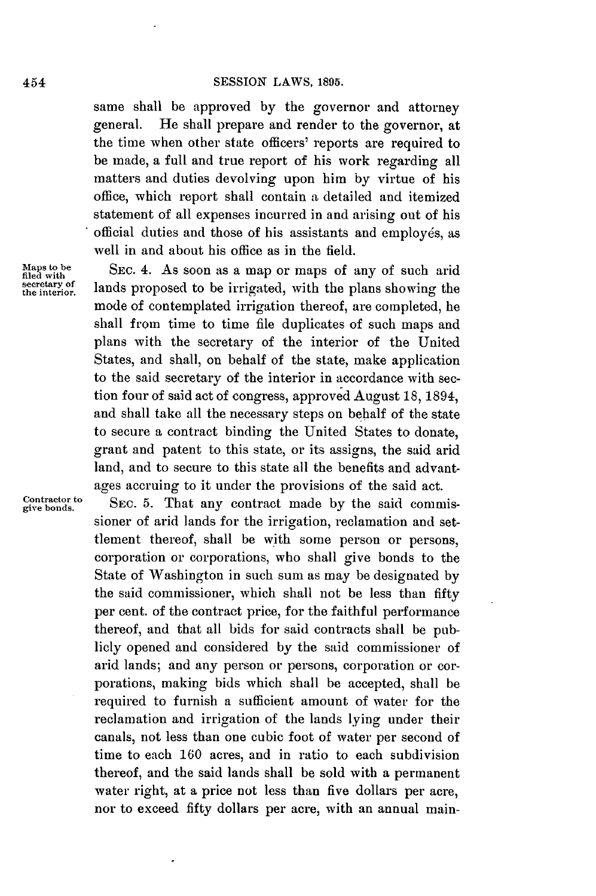same shall be approved **by** the governor and attorney general. He shall prepare and render to the governor, at the time when other state officers' reports are required to be made, a full and true report of his work regarding all matters and duties devolving upon him **by** virtue of his office, which report shall contain **a** detailed and itemized statement of all expenses incurred in and arising out of his official duties and those of his assistants and employés, as well in and about his office as in the field.

Maps to be **SEC. 4.** As soon as a map or maps of any of such arid filed with the plane showing the sequence of any state of  $\frac{1}{2}$ filed with<br>secretary of **lands** proposed to be irrigated, with the plans showing the<br>the interior. mode of contemplated irrigation thereof, are completed, he shall from time to time file duplicates of such maps and plans with the secretary of the interior of the United States, and shall, on behalf of the state, make application to the said secretary of the interior in accordance with section four of said act of congress, approved August **18,** 1894, and shall take all the necessary steps on behalf of the state to secure a contract binding the United States to donate, grant and patent to this state, or its assigns, the said arid land, and to secure to this state all the benefits and advantages accruing to it under the provisions of the said act.

Contractor to SEC. 5. That any contract made by the said commissioner of arid lands for the irrigation, reclamation and settlement thereof, shall be with some person or persons, corporation or corporations, who shall give bonds to the State of Washington in such sum as may be designated **by** the said commissioner, which shall not be less than fifty per cent. of the contract price, for the faithful performance thereof, and that all bids for said contracts shall be publicly opened and considered **by** the said commissioner of arid lands; and any person or persons, corporation or corporations, making bids which shall be accepted, shall be required to furnish a sufficient amount of water for the reclamation and irrigation of the lands lying under their canals, not less than one cubic foot of water per second of time to each **160** acres, and in ratio to each subdivision thereof, and the said lands shall be sold with a permanent water right, at a price not less than five dollars per acre, nor to exceed fifty dollars per acre, with an annual main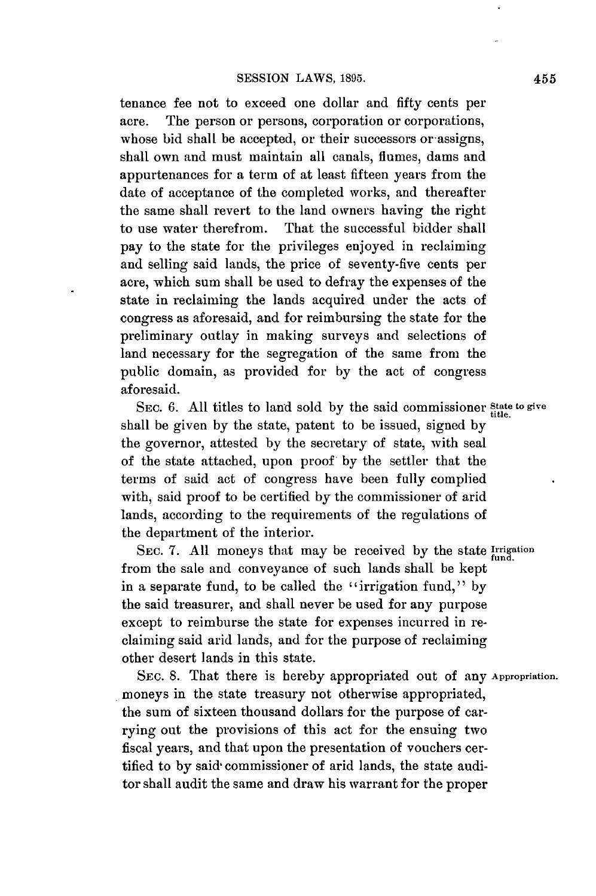tenance fee not to exceed one dollar and fifty cents per acre. The person or persons, corporation or corporations, whose bid shall be accepted, or their successors or assigns, shall own and must maintain all canals, flumes, dams and appurtenances for a term of at least fifteen years from the date of acceptance of the completed works, and thereafter the same shall revert to the land owners having the right to use water therefrom. That the successful bidder shall pay to the state for the privileges enjoyed in reclaiming and selling said lands, the price of seventy-five cents per acre, which sum shall be used to defray the expenses of the state in reclaiming the lands acquired under the acts of congress as aforesaid, and for reimbursing the state for the preliminary outlay in making surveys and selections of land necessary for the segregation of the same from the public domain, as provided for **by** the act of congress aforesaid.

SEC. 6. All titles to land sold by the said commissioner *State* to give shall be given **by** the state, patent to be issued, signed **by** the governor, attested **by** the secretary of state, with seal of the state attached, upon proof **by** the settler that the terms of said act of congress have been fully complied with, said proof to **be** certified **by** the commissioner of arid lands, according to the requirements of the regulations of the department of the interior.

SEC. **7. All** moneys that may be received **by** the state **Irrigation** from the sale and conveyance of such lands shall be kept in a separate fund, to be called the "irrigation fund," **by** the said treasurer, and shall never be used for any purpose except to reimburse the state for expenses incurred in reclaiming said arid lands, and for the purpose of reclaiming other desert lands in this state.

**SEC. 8.** That there is hereby appropriated out **of** any **Appropriation.** moneys in the state treasury not otherwise appropriated, the sum of sixteen thousand dollars for the purpose of carrying out the provisions of this act for the ensuing two fiscal years, and that upon the presentation of vouchers certified to **by** said commissioner of arid lands, the state auditor shall audit the same and draw his warrant for the proper